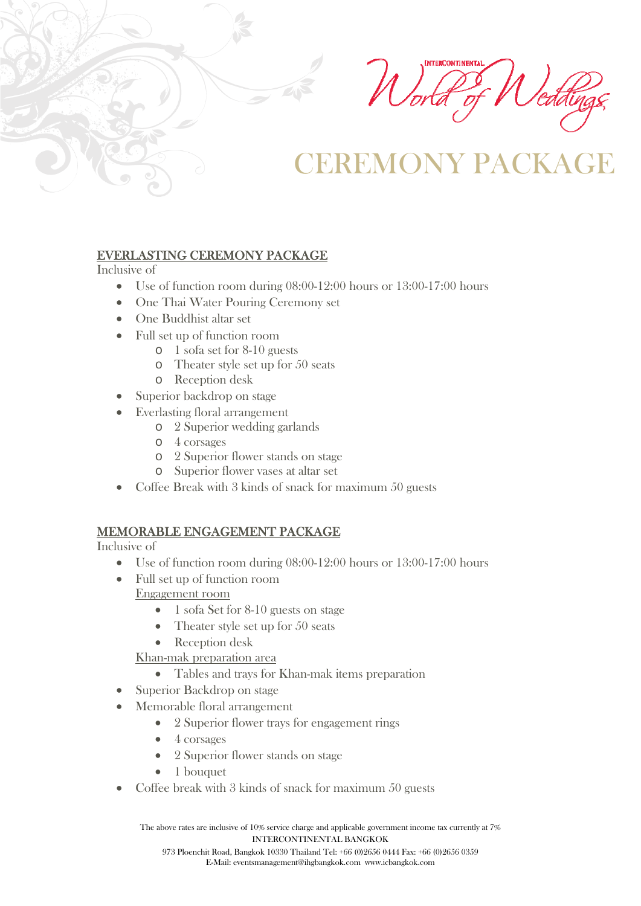**INTERCONTINENTA** 

# REMONY PACK

### EVERLASTING CEREMONY PACKAGE

Inclusive of

- Use of function room during 08:00-12:00 hours or 13:00-17:00 hours
- One Thai Water Pouring Ceremony set
- One Buddhist altar set
- Full set up of function room
	- o 1 sofa set for 8-10 guests
	- o Theater style set up for 50 seats
	- o Reception desk
- Superior backdrop on stage
- Everlasting floral arrangement
	- o 2 Superior wedding garlands
	- o 4 corsages
	- o 2 Superior flower stands on stage
	- o Superior flower vases at altar set
- Coffee Break with 3 kinds of snack for maximum 50 guests

### MEMORABLE ENGAGEMENT PACKAGE

Inclusive of

- Use of function room during 08:00-12:00 hours or 13:00-17:00 hours
- Full set up of function room Engagement room
	- 1 sofa Set for 8-10 guests on stage
	- Theater style set up for 50 seats
	- Reception desk
	- Khan-mak preparation area
		- Tables and trays for Khan-mak items preparation
- Superior Backdrop on stage
- Memorable floral arrangement
	- 2 Superior flower trays for engagement rings
	- 4 corsages
	- 2 Superior flower stands on stage
	- 1 bouquet
- Coffee break with 3 kinds of snack for maximum 50 guests

The above rates are inclusive of 10% service charge and applicable government income tax currently at 7% INTERCONTINENTAL BANGKOK